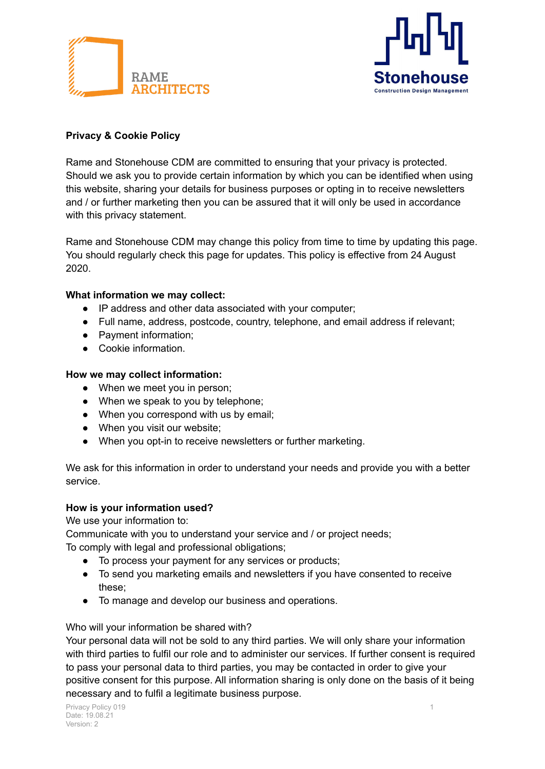



# **Privacy & Cookie Policy**

Rame and Stonehouse CDM are committed to ensuring that your privacy is protected. Should we ask you to provide certain information by which you can be identified when using this website, sharing your details for business purposes or opting in to receive newsletters and / or further marketing then you can be assured that it will only be used in accordance with this privacy statement.

Rame and Stonehouse CDM may change this policy from time to time by updating this page. You should regularly check this page for updates. This policy is effective from 24 August 2020.

## **What information we may collect:**

- IP address and other data associated with your computer;
- Full name, address, postcode, country, telephone, and email address if relevant;
- Payment information;
- Cookie information.

#### **How we may collect information:**

- When we meet you in person;
- When we speak to you by telephone;
- When you correspond with us by email;
- When you visit our website;
- When you opt-in to receive newsletters or further marketing.

We ask for this information in order to understand your needs and provide you with a better service.

#### **How is your information used?**

We use your information to:

Communicate with you to understand your service and / or project needs;

To comply with legal and professional obligations;

- To process your payment for any services or products;
- To send you marketing emails and newsletters if you have consented to receive these;
- To manage and develop our business and operations.

#### Who will your information be shared with?

Your personal data will not be sold to any third parties. We will only share your information with third parties to fulfil our role and to administer our services. If further consent is required to pass your personal data to third parties, you may be contacted in order to give your positive consent for this purpose. All information sharing is only done on the basis of it being necessary and to fulfil a legitimate business purpose.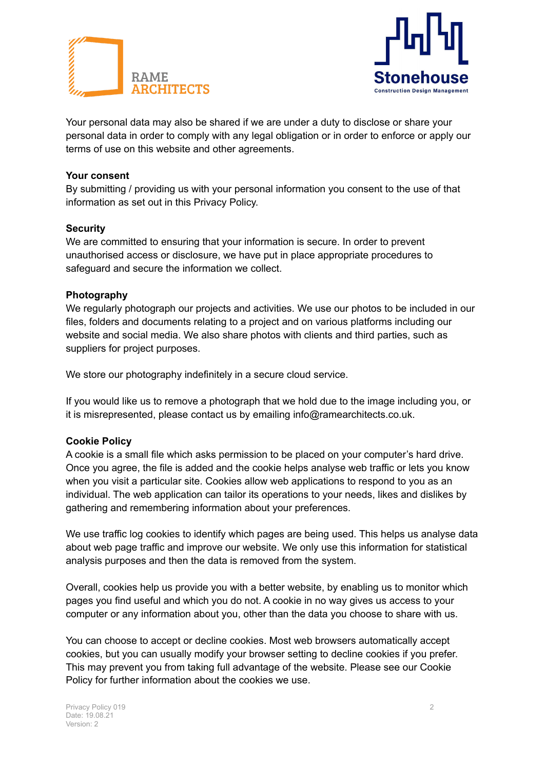



Your personal data may also be shared if we are under a duty to disclose or share your personal data in order to comply with any legal obligation or in order to enforce or apply our terms of use on this website and other agreements.

## **Your consent**

By submitting / providing us with your personal information you consent to the use of that information as set out in this Privacy Policy.

#### **Security**

We are committed to ensuring that your information is secure. In order to prevent unauthorised access or disclosure, we have put in place appropriate procedures to safeguard and secure the information we collect.

#### **Photography**

We regularly photograph our projects and activities. We use our photos to be included in our files, folders and documents relating to a project and on various platforms including our website and social media. We also share photos with clients and third parties, such as suppliers for project purposes.

We store our photography indefinitely in a secure cloud service.

If you would like us to remove a photograph that we hold due to the image including you, or it is misrepresented, please contact us by emailing info@ramearchitects.co.uk.

#### **Cookie Policy**

A cookie is a small file which asks permission to be placed on your computer's hard drive. Once you agree, the file is added and the cookie helps analyse web traffic or lets you know when you visit a particular site. Cookies allow web applications to respond to you as an individual. The web application can tailor its operations to your needs, likes and dislikes by gathering and remembering information about your preferences.

We use traffic log cookies to identify which pages are being used. This helps us analyse data about web page traffic and improve our website. We only use this information for statistical analysis purposes and then the data is removed from the system.

Overall, cookies help us provide you with a better website, by enabling us to monitor which pages you find useful and which you do not. A cookie in no way gives us access to your computer or any information about you, other than the data you choose to share with us.

You can choose to accept or decline cookies. Most web browsers automatically accept cookies, but you can usually modify your browser setting to decline cookies if you prefer. This may prevent you from taking full advantage of the website. Please see our Cookie Policy for further information about the cookies we use.